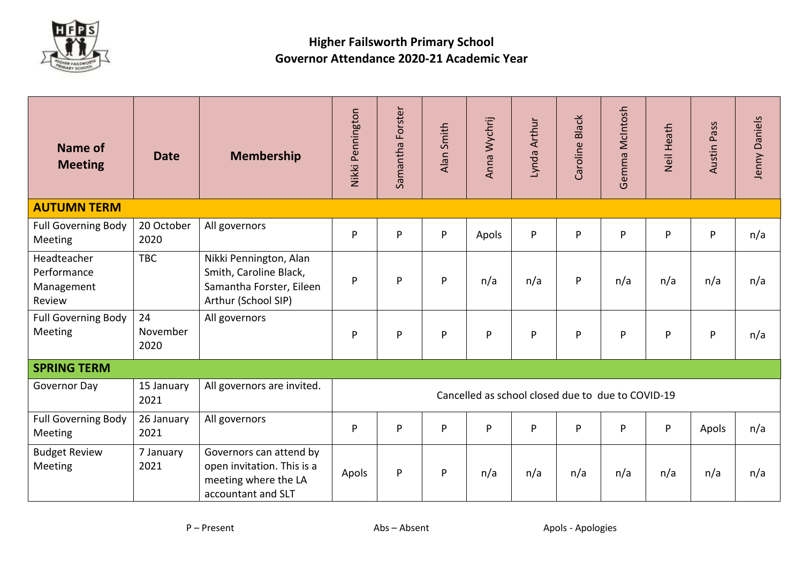

## **Higher Failsworth Primary School Governor Attendance 2020-21 Academic Year**

| Name of<br><b>Meeting</b>                          | <b>Date</b>            | <b>Membership</b>                                                                                   | Nikki Pennington                                  | Forster<br>Samantha | Alan Smith | Anna Wychrij | Lynda Arthur | <b>Black</b><br>Caroline | Gemma McIntosh | Neil Heath | Austin Pass | Jenny Daniels |
|----------------------------------------------------|------------------------|-----------------------------------------------------------------------------------------------------|---------------------------------------------------|---------------------|------------|--------------|--------------|--------------------------|----------------|------------|-------------|---------------|
| <b>AUTUMN TERM</b>                                 |                        |                                                                                                     |                                                   |                     |            |              |              |                          |                |            |             |               |
| <b>Full Governing Body</b><br>Meeting              | 20 October<br>2020     | All governors                                                                                       | P                                                 | P                   | P          | Apols        | P            | P                        | P              | P          | ${\sf P}$   | n/a           |
| Headteacher<br>Performance<br>Management<br>Review | <b>TBC</b>             | Nikki Pennington, Alan<br>Smith, Caroline Black,<br>Samantha Forster, Eileen<br>Arthur (School SIP) | P                                                 | P                   | P          | n/a          | n/a          | P                        | n/a            | n/a        | n/a         | n/a           |
| <b>Full Governing Body</b><br>Meeting              | 24<br>November<br>2020 | All governors                                                                                       | P                                                 | P                   | P          | P            | P            | P                        | P              | P          | P           | n/a           |
| <b>SPRING TERM</b>                                 |                        |                                                                                                     |                                                   |                     |            |              |              |                          |                |            |             |               |
| Governor Day                                       | 15 January<br>2021     | All governors are invited.                                                                          | Cancelled as school closed due to due to COVID-19 |                     |            |              |              |                          |                |            |             |               |
| <b>Full Governing Body</b><br>Meeting              | 26 January<br>2021     | All governors                                                                                       | P                                                 | P                   | P          | P            | P            | P                        | P              | P          | Apols       | n/a           |
| <b>Budget Review</b><br>Meeting                    | 7 January<br>2021      | Governors can attend by<br>open invitation. This is a<br>meeting where the LA<br>accountant and SLT | Apols                                             | P                   | P          | n/a          | n/a          | n/a                      | n/a            | n/a        | n/a         | n/a           |